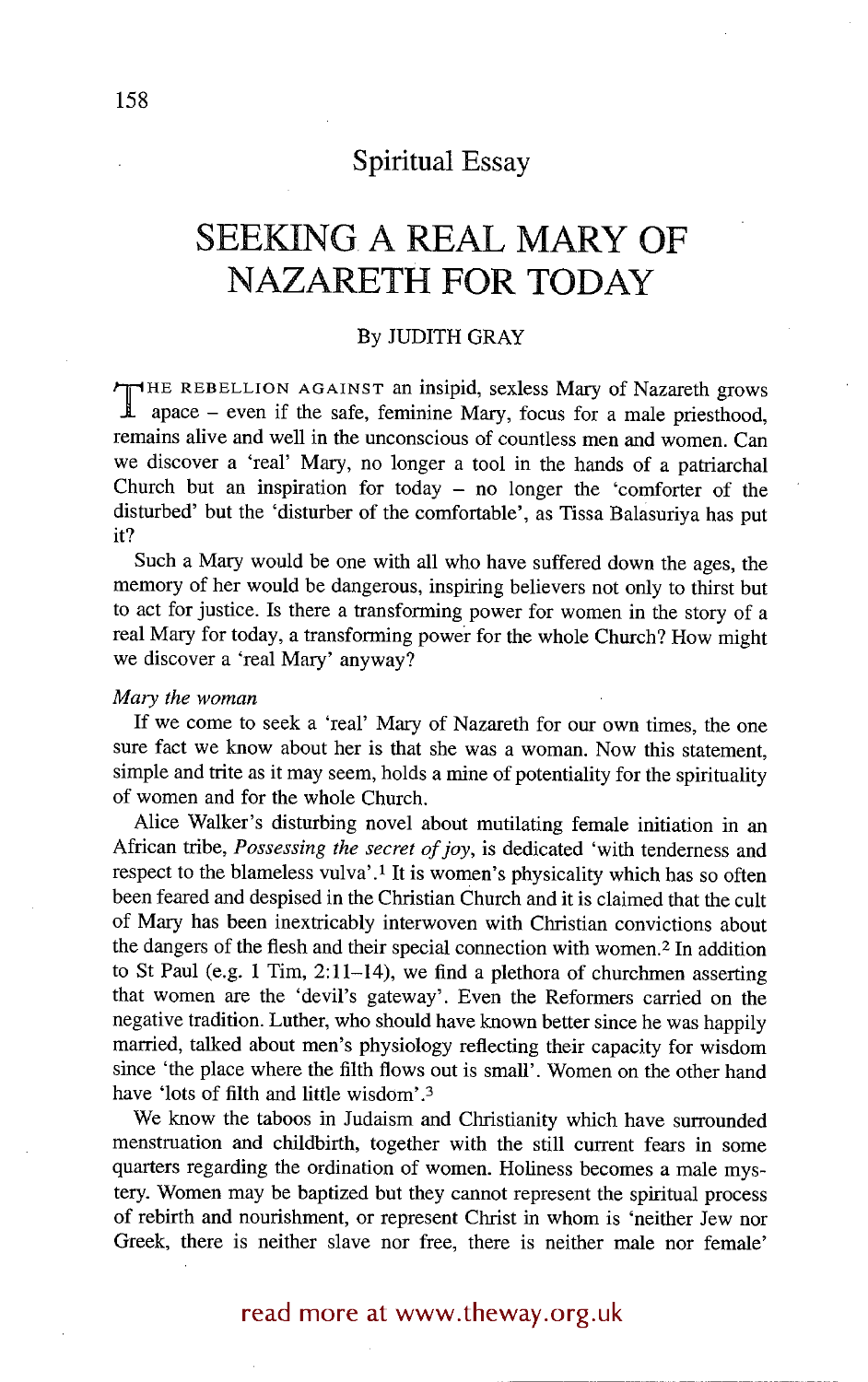## **Spiritual Essay**

# **SEEKING. A REAL MARY OF NAZARETH FOR TODAY**

## By JUDITH **GRAY**

THE REBELLION AGAINST an insipid, sexless Mary of Nazareth grows<br>apace – even if the safe, feminine Mary, focus for a male priesthood, remains alive and well in the unconscious of countless men and women. Can we discover a 'real' Mary, no longer a tool in the hands of a patriarchal Church but an inspiration for today  $-$  no longer the 'comforter of the disturbed' but the 'disturber of the comfortable', as Tissa Balasuriya has put it?

Such a Mary would be one with all who have suffered down the ages, the memory of her would be dangerous, inspiring believers not only to thirst but to act for justice. Is there a transforming power for women in the story of a real Mary for today, a transforming power for the whole Church? How might we discover a 'real Mary' anyway?

### *Mary the woman*

If we come to seek a 'real' Mary of Nazareth for our own times, the one sure fact we know about her is that she was a woman. Now this statement, simple and trite as it may seem, holds a mine of potentiality for the spirituality of women and for the whole Church.

Alice Walker's disturbing novel about mutilating female initiation in an African tribe, *Possessing the secret of joy,* is dedicated 'with tenderness and respect to the blameless vulva'.<sup>1</sup> It is women's physicality which has so often been feared and despised in the Christian Church and it is claimed that the cult of Mary has been inextricably interwoven with Christian convictions about the dangers of the flesh and their special connection with women.<sup>2</sup> In addition to St Paul (e.g. 1 Tim, 2:11-14), we find a plethora of churchmen asserting that women are the 'devil's gateway'. Even the Reformers carried on the negative tradition. Luther, who should have known better since he was happily married, talked about men's physiology reflecting their capacity for wisdom since 'the place where the filth flows out is small'. Women on the other hand have 'lots of filth and little wisdom'.3

We know the taboos in Judaism and Christianity which have surrounded menstruation and childbirth, together with the still current fears in some quarters regarding the ordination of women. Holiness becomes a male mystery. Women may be baptized but they cannot represent the spiritual process of rebirth and nourishment, or represent Christ in whom is 'neither Jew nor Greek, there is neither slave nor free, there is neither male nor female'

## read more at www.theway.org.uk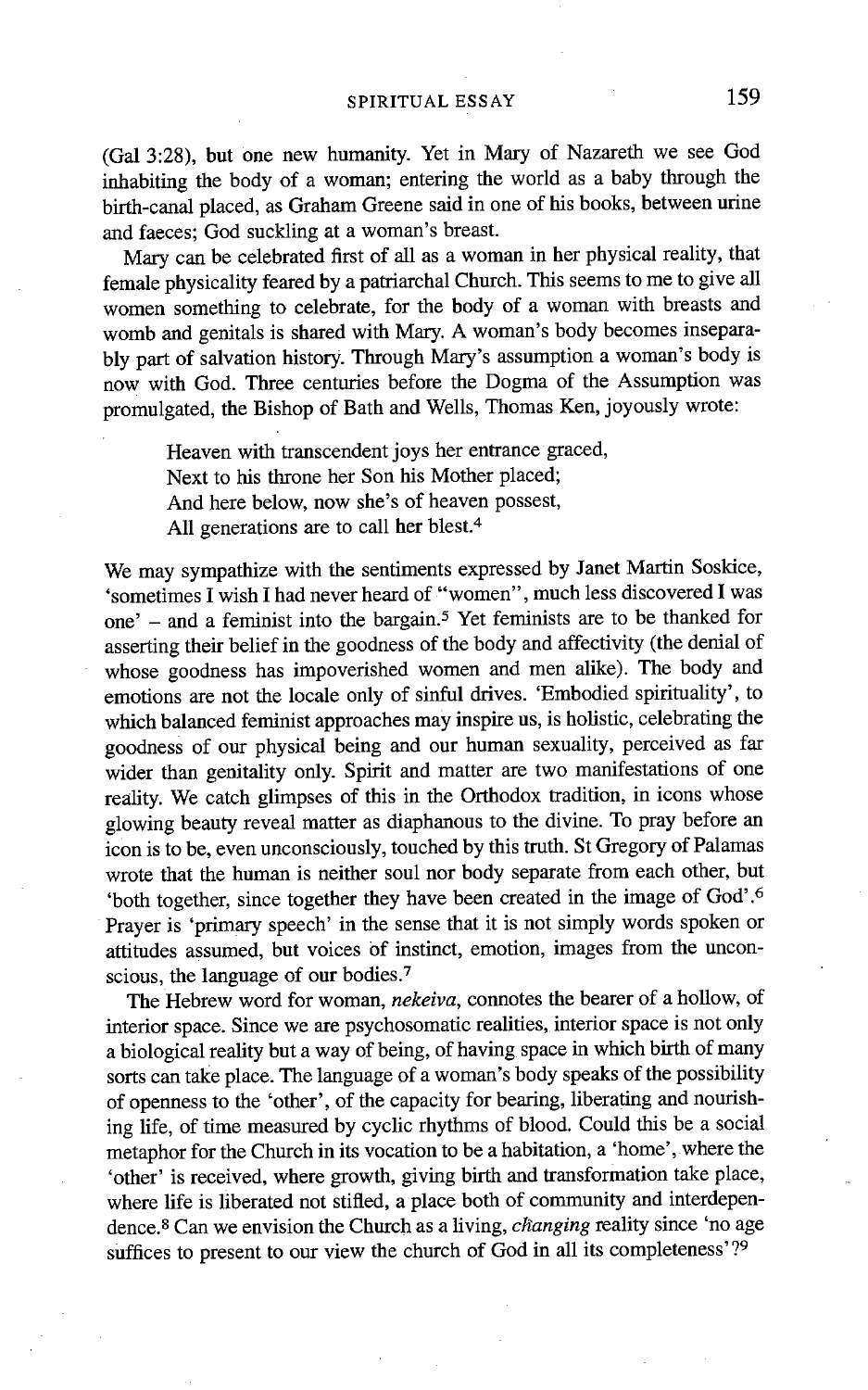(Gal 3:28), but one new humanity. Yet in Mary of Nazareth we see God inhabiting the body of a woman; entering the world as a baby through the birth-canal placed, as Graham Greene said in one of his books, between urine and faeces; God suckling at a woman's breast.

Mary can be celebrated first of all as a woman in her physical reality, that female physicality feared by a patriarchal Church. This seems to me to give all women something to celebrate, for the body of a woman with breasts and womb and genitals is shared with Mary. A woman's body becomes inseparably part of salvation history. Through Mary's assumption a woman's body is now with God. Three centuries before the Dogma of the Assumption was promulgated, the Bishop of Bath and Wells, Thomas Ken, joyously wrote:

Heaven with transcendent joys her entrance graced, Next to his throne her Son his Mother placed; And here below, now she's of heaven possest, All generations are to call her blest.<sup>4</sup>

We may sympathize with the sentiments expressed by Janet Martin Soskice, 'sometimes I wish I had never heard of "women", much less discovered I was one' - and a feminist into the bargain. 5 Yet feminists are to be thanked for asserting their belief in the goodness of the body and affectivity (the denial of whose goodness has impoverished women and men alike). The body and emotions are not the locale only of sinful drives. 'Embodied spirituality', to which balanced feminist approaches may inspire us, is holistic, celebrating the goodness of our physical being and our human sexuality, perceived as far wider than genitality only. Spirit and matter are two manifestations of one reality. We catch glimpses of this in the Orthodox tradition, in icons whose glowing beauty reveal matter as diaphanous to the divine. To pray before an icon is to be, even unconsciously, touched by this truth. St Gregory of Palamas wrote that the human is neither soul nor body separate from each other, but 'both together, since together they have been created in the image of God' .6 Prayer is 'primary speech' in the sense that it is not simply words spoken or attitudes assumed, but voices of instinct, emotion, images from the unconscious, the language of our bodies.<sup>7</sup>

The Hebrew word for woman, *nekeiva,* connotes the bearer of a hollow, of interior space. Since we are psychosomatic realities, interior space is not only a biological reality but a way of being, of having space in which birth of many sorts can take place, The language of a woman's body speaks of the possibility of openness to the 'other', of the capacity for bearing, liberating and nourishing life, of time measured by cyclic rhythms of blood. Could this be a social metaphor for the Church in its vocation to be a habitation, a 'home', where the 'other' is received, where growth, giving birth and transformation take place, where life is liberated not stifled, a place both of community and interdependence, s Can we envision the Church as a living, *changing* reality since 'no age suffices to present to our view the church of God in all its completeness'?<sup>9</sup>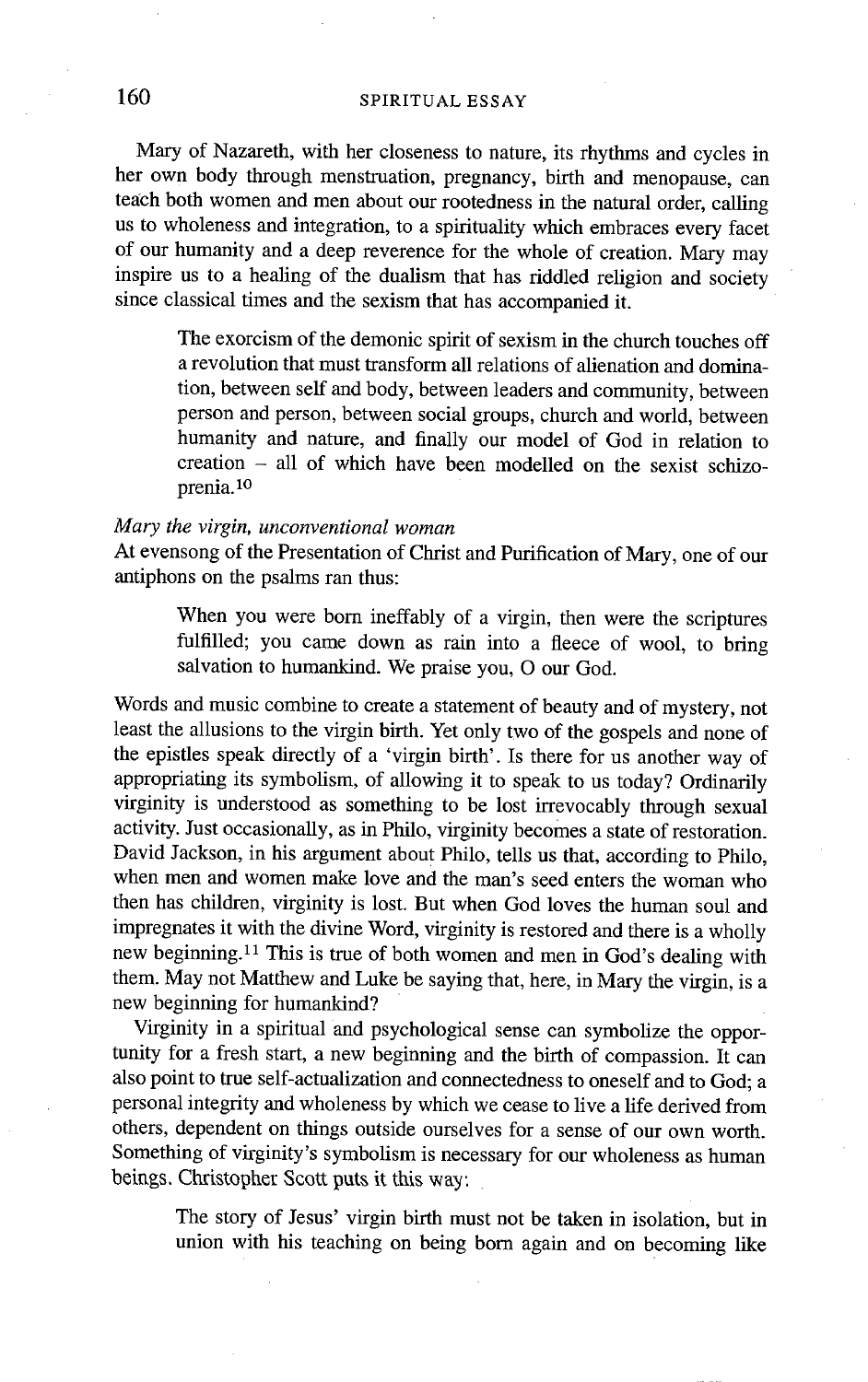## 160 SPIRITUAL ESSAY

Mary of Nazareth, with her closeness to nature, its rhythms and cycles in her own body through menstruation, pregnancy, birth and menopause, can teach both women and men about our rootedness in the natural order, calling us to wholeness and integration, to a spirituality which embraces every facet of our humanity and a deep reverence for the whole of creation. Mary may inspire us to a healing of the dualism that has riddled religion and society since classical times and the sexism that has accompanied it.

The exorcism of the demonic spirit of sexism in the church touches off a revolution that must transform all relations of alienation and domination, between self and body, between leaders and community, between person and person, between social groups, church and world, between humanity and nature, and finally our model of God in relation to creation - all of which have been modelled on the sexist schizoprenia, lo

## *Mary the virgin, unconventional woman*

At evensong of the Presentation of Christ and Purification of Mary, one of our antiphons on the psalms ran thus:

When you were born ineffably of a virgin, then were the scriptures fulfilled; you came down as rain into a fleece of wool, to bring salvation to humankind. We praise you, O our God.

Words and music combine to create a statement of beauty and of mystery, not least the allusions to the virgin birth. Yet only two of the gospels and none of the epistles speak directly of a 'virgin birth'. Is there for us another way of appropriating its symbolism, of allowing it to speak to us today? Ordinarily virginity is understood as something to be lost irrevocably through sexual activity. Just occasionally, as in Philo, virginity becomes a state of restoration. David Jackson, in his argument about Philo, tells us that, according to Philo, when men and women make love and the man's seed enters the woman who then has children, virginity is lost. But when God loves the human soul and impregnates it with the divine Word, virginity is restored and there is a wholly new beginning. 11 This is true of both women and men in God's dealing with them. May not Matthew and Luke be saying that, here, in Mary the virgin, is a new beginning for humankind?

Virginity in a spiritual and psychological sense can symbolize the opportunity for a fresh start, a new beginning and the birth of compassion. It can also point to true self-actualization and connectedness to oneself and to God; a personal integrity and wholeness by which we cease to live a life derived from others, dependent on things outside ourselves for a sense of our own worth. Something of virginity's symbolism is necessary for our wholeness as human beings. Christopher Scott puts it this way:

The story of Jesus' virgin birth must not be taken in isolation, but in union with his teaching on being born again and on becoming like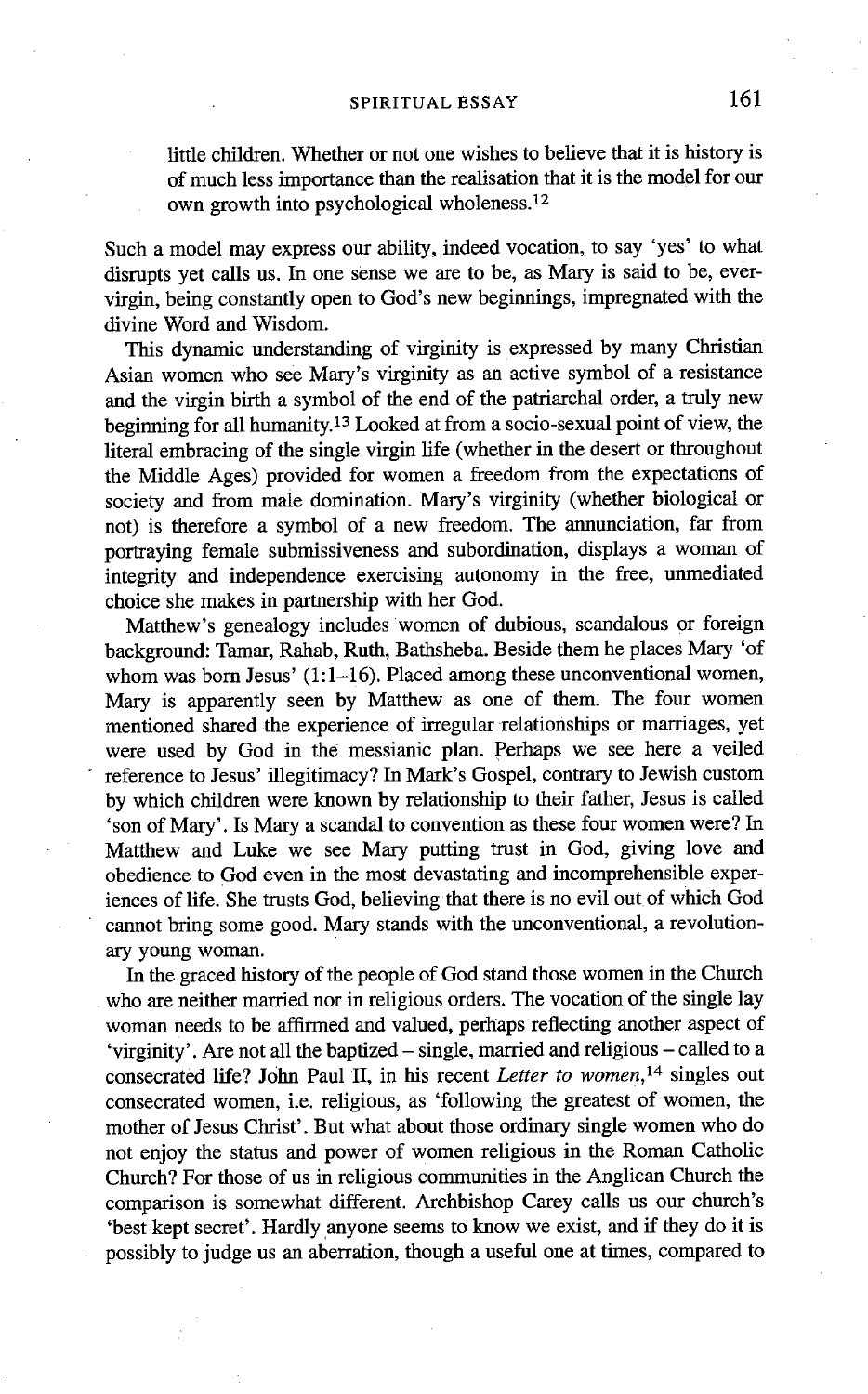little children. Whether or not one wishes to believe that it is history is of much less importance than the realisation that it is the model for our own growth into psychological wholeness.<sup>12</sup>

Such a model may express our ability, indeed vocation, to say 'yes' to what disrupts yet calls us. In one sense we are to be, as Mary is said to be, evervirgin, being constantly open to God's new beginnings, impregnated with the divine Word and Wisdom.

This dynamic understanding of virginity is expressed by many Christian Asian women who see Mary's virginity as an active symbol of a resistance and the virgin birth a symbol of the end of the patriarchal order, a truly new beginning for all humanity.<sup>13</sup> Looked at from a socio-sexual point of view, the literal embracing of the single virgin life (whether in the desert or throughout the Middle Ages) provided for women a freedom from the expectations of society and from male domination. Mary's virginity (whether biological or not) is therefore a symbol of a new freedom. The annunciation, far from portraying female submissiveness and subordination, displays a woman of integrity and independence exercising autonomy in the free, unmediated choice she makes in partnership with her God.

Matthew's genealogy includes women of dubious, scandalous or foreign background: Tamar, Rahab, Ruth, Bathsheba. Beside them he places Mary 'of whom was born Jesus' (1:1-16). Placed among these unconventional women, Mary is apparently seen by Matthew as one of them. The four women mentioned shared the experience of irregular relationships or marriages, yet were used by God in the messianic plan. perhaps we see here a veiled reference to Jesus' illegitimacy? In Mark's Gospel, contrary to Jewish custom by which children were known by relationship to their father, Jesus is called 'son of Mary'. Is Mary a scandal to convention as these four women were? In Matthew and Luke we see Mary putting trust in God, giving love and obedience to God even in the most devastating and incomprehensible experiences of life. She trusts God, believing that there is no evil out of which God cannot bring some good. Mary stands with the unconventional, a revolutionary young woman.

In the graced history of the people of God stand those women in the Church who are neither married nor in religious orders. The vocation of the single lay woman needs to be affirmed and valued, perhaps reflecting another aspect of 'virginity'. Are not all the baptized- single, married and religious - called to a consecrated life? John Paul II, in his recent *Letter to women, 14* singles out consecrated women, i.e. religious, as 'following the greatest of women, the mother of Jesus Christ'. But what about those ordinary single women who do not enjoy the status and power of women religious in the Roman Catholic Church? For those of us in religious Communities in the Anglican Church the comparison is somewhat different. Archbishop Carey calls us our church's 'best kept secret'. Hardly anyone seems to know we exist, and if they do it is possibly to judge us an aberration, though a useful one at times, compared to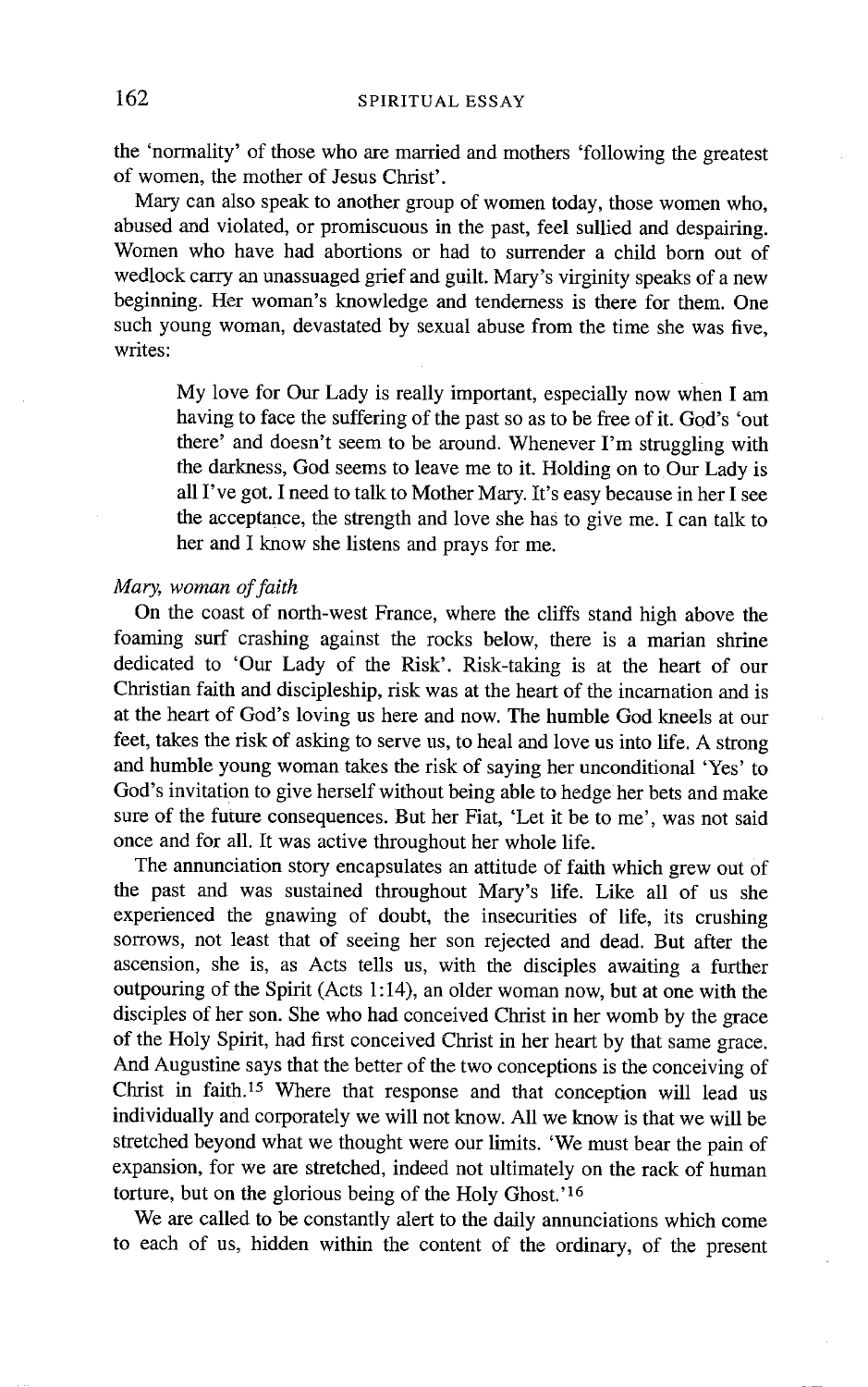the 'normality' of those who are married and mothers 'following the greatest of women, the mother of Jesus Christ'.

Mary can also speak to another group of women today, those women who, abused and violated, or promiscuous in the past, feel sullied and despairing. Women who have had abortions or had to surrender a child born out of wedlock carry an unassuaged grief and guilt. Mary's virginity speaks of a new beginning. Her woman's knowledge and tenderness is there for them. One such young woman, devastated by sexual abuse from the time she was five, writes:

My love for Our Lady is really important, especially now when I am having to face the suffering of the past so as to be free of it. God's 'out there' and doesn't seem to be around. Whenever I'm struggling with the darkness, God seems to leave me to it. Holding on to Our Lady is all I've got. I need to talk to Mother Mary. It's easy because in her I see the acceptance, the strength and love she has to give me. I can talk to her and I know she listens and prays for me.

### *Mary, woman of faith*

On the coast of north-west France, where the cliffs stand high above the foaming surf crashing against the rocks below, there is a marian shrine dedicated to 'Our Lady of the Risk'. Risk-taking is at the heart of our Christian faith and discipleship, risk was at the heart of the incarnation and is at the heart of God's loving us here and now. The humble God kneels at our feet, takes the risk of asking to serve us, to heal and love us into life. A strong and humble young woman takes the risk of saying her unconditional 'Yes' to God's invitation to give herself without being able to hedge her bets and make sure of the future consequences. But her Fiat, 'Let it be to me', was not said once and for all. It was active throughout her whole life.

The annunciation story encapsulates an attitude of faith which grew out of the past and was sustained throughout Mary's life. Like all of us she experienced the gnawing of doubt, the insecurities of life, its crushing sorrows, not least that of seeing her son rejected and dead. But after the ascension, she is, as Acts tells us, with the disciples awaiting a further outpouring of the Spirit (Acts 1:14), an older woman now, but at one with the disciples of her son. She who had conceived Christ in her womb by the grace of the Holy Spirit, had first conceived Christ in her heart by that same grace. And Augustine says that the better of the two conceptions is the conceiving of Christ in faith.<sup>15</sup> Where that response and that conception will lead us individually and corporately we will not know. All we know is that we will be stretched beyond what we thought were our limits. 'We must bear the pain of expansion, for we are stretched, indeed not ultimately on the rack of human torture, but on the glorious being of the Holy Ghost.'<sup>16</sup>

We are called to be constantly alert to the daily annunciations which come to each of us, hidden within the content of the ordinary, of the present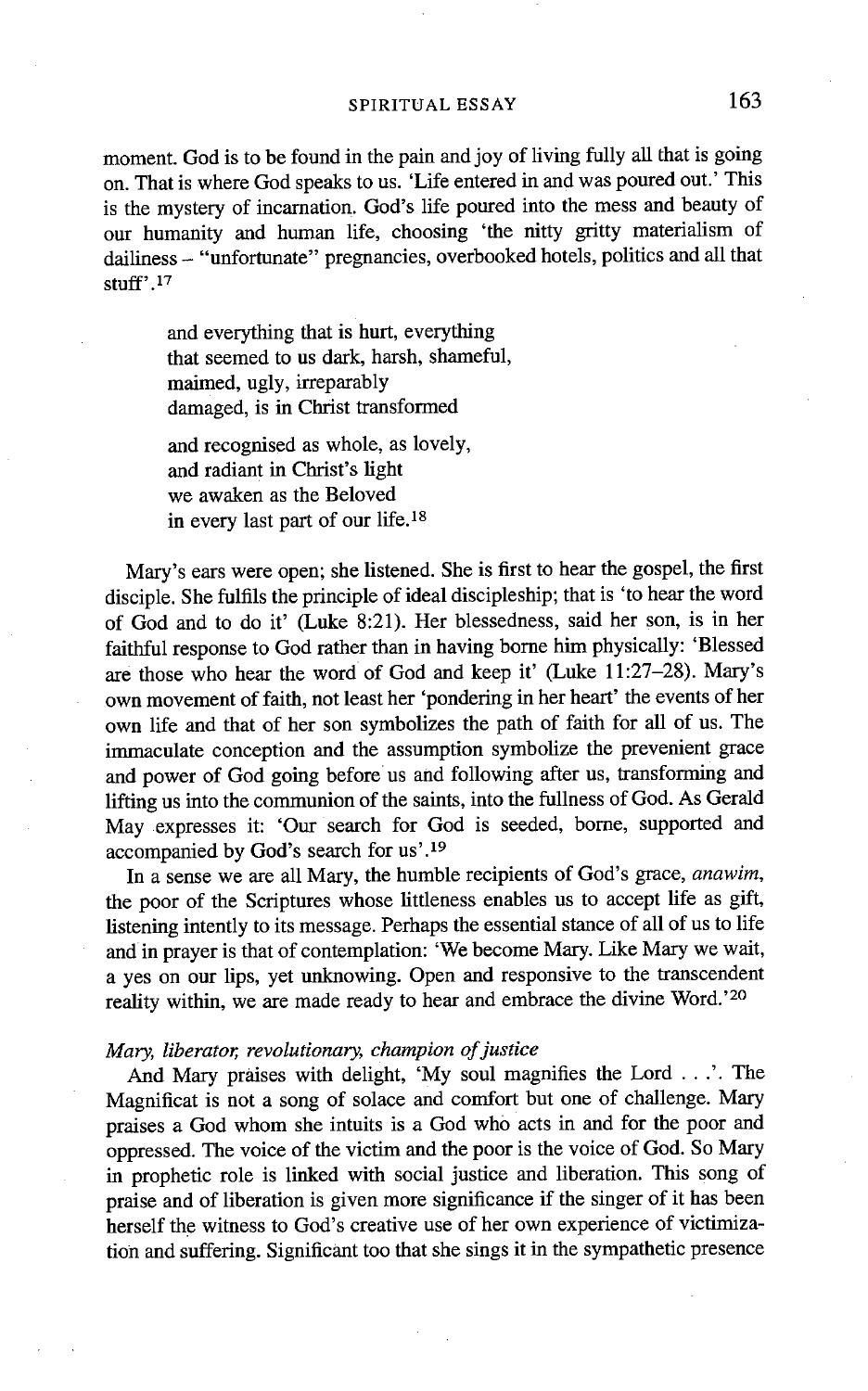moment. God is to be found in the pain and joy of living fully all that is going on. That is where God speaks to us. 'Life entered in and was poured out.' This is the mystery of incarnation. God's life poured into the mess and beauty of our humanity and human life, choosing 'the nitty gritty materialism of dailiness - "unfortunate" pregnancies, overbooked hotels, politics and all that stuff'. 17

and everything that is hurt, everything that seemed to us dark, harsh, shameful, maimed, ugly, irreparably damaged, is in Christ transformed

and recognised as whole, as lovely, and radiant in Christ's light we awaken as the Beloved in every last part of our life.<sup>18</sup>

Mary's ears were open; she listened. She is first to hear the gospel, the first disciple. She fulfils the principle of ideal discipleship; that is 'to hear the word of God and to do it' (Luke 8:21). Her blessedness, said her son, is in her faithful response to God rather than in having borne him physically: 'Blessed are those who hear the word of God and keep it' (Luke 11:27-28). Mary's own movement of faith, not least her 'pondering in her heart' the events of her own life and that of her son symbolizes the path of faith for all of us. The immaculate conception and the assumption symbolize the prevenient grace and power of God going before us and following after us, transforming and lifting us into the communion of the saints, into the fullness of God. As Gerald May expresses it: 'Our search for God is seeded, borne, supported and accompanied by God's search for us'. 19

In a sense we are all Mary, the humble recipients of God's grace, *anawim,*  the poor of the Scriptures whose littleness enables us to accept life as gift, listening intently to its message. Perhaps the essential stance of all of us to life and in prayer is that of contemplation: 'We become Mary. Like Mary we wait, a yes on our lips, yet unknowing. Open and responsive to the transcendent reality within, we are made ready to hear and embrace the divine Word.'20

## *Mary, liberator, revolutionary, champion of justice*

And Mary praises with delight, 'My soul magnifies the Lord ...'. The Magnificat is not a song of solace and comfort but one of challenge. Mary praises a God whom she intuits is a God who acts in and for the poor and oppressed. The voice of the victim and the poor is the voice of God. So Mary in prophetic role is linked with social justice and liberation. This song of praise and of liberation is given more significance if the singer of it has been herself the witness to God's creative use of her own experience of victimization and suffering. Significant too that she sings it in the sympathetic presence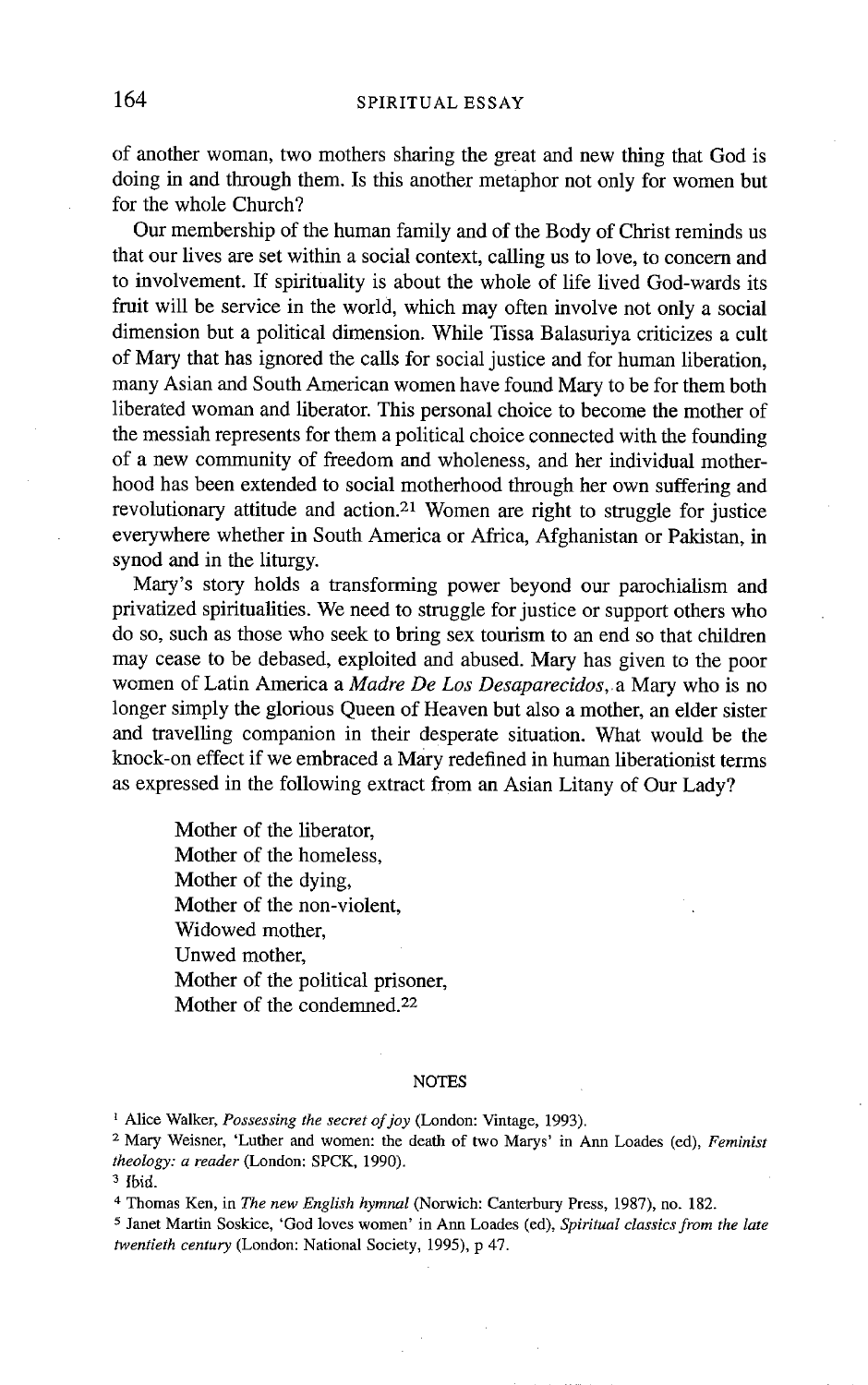of another woman, two mothers sharing the great and new thing that God is doing in and through them. Is this another metaphor not only for women but for the whole Church?

Our membership of the human family and of the Body of Christ reminds us that our lives are set within a social context, calling us to love, to concem and to involvement. If spirituality is about the whole of life lived God-wards its fruit will be service in the world, which may often involve not only a social dimension but a political dimension. While Tissa Balasuriya criticizes a cult of Mary that has ignored the calls for social justice and for human liberation, many Asian and South American women have found Mary to be for them both liberated woman and liberator. This personal choice to become the mother of the messiah represents for them a political choice connected with the founding of a new community of freedom and wholeness, and her individual motherhood has been extended to social motherhood through her own suffering and revolutionary attitude and action. 21 Women are fight to struggle for justice everywhere whether in South America or Africa, Afghanistan or Pakistan, in synod and in the liturgy.

Mary's story holds a transforming power beyond our parochialism and privatized spiritualities. We need to struggle for justice or support others who do so, such as those who seek to bring sex tourism to an end so that children may cease to be debased, exploited and abused. Mary has given to the poor women of Latin America a *Madre De Los Desaparecidos,* a Mary who is no longer simply the glorious Queen of Heaven but also a mother, an elder sister and travelling companion in their desperate situation. What would be the knock-on effect if we embraced a Mary redefined in human liberationist terms as expressed in the following extract from an Asian Litany of Our Lady?

Mother of the liberator, Mother of the homeless, Mother of the dying, Mother of the non-violent, Widowed mother, Unwed mother, Mother of the political prisoner, Mother of the condemned. 22

#### **NOTES**

<sup>1</sup> Alice Walker, *Possessing the secret of joy* (London: Vintage, 1993).

2 Mary Weisner, 'Luther and women: the death of two Marys' in Ann Loades (ed), *Feminist theology: a reader* (London: SPCK, 1990).

4 Thomas Ken, in *The new English hymnal* (Norwich: Canterbury Press, 1987), no. 182.

5 Janet Martin Soskice, 'God loves women' in Ann Loades (ed), *Spiritual classics from the late twentieth century* (London: National Society, 1995), p 47.

 $3$  Ibid.